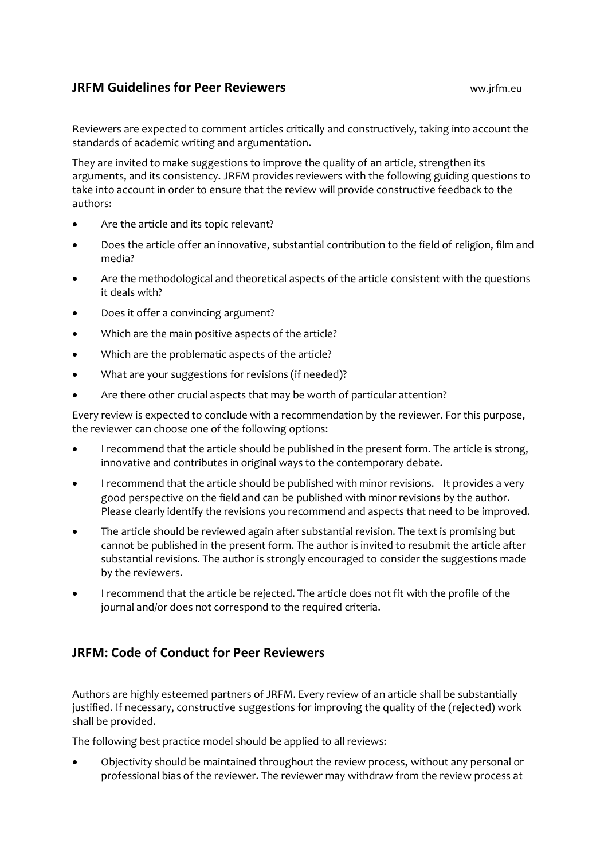## **JRFM Guidelines for Peer Reviewers** ww.jrfm.eu

Reviewers are expected to comment articles critically and constructively, taking into account the standards of academic writing and argumentation.

They are invited to make suggestions to improve the quality of an article, strengthen its arguments, and its consistency. JRFM provides reviewers with the following guiding questions to take into account in order to ensure that the review will provide constructive feedback to the authors:

- Are the article and its topic relevant?
- Does the article offer an innovative, substantial contribution to the field of religion, film and media?
- Are the methodological and theoretical aspects of the article consistent with the questions it deals with?
- Does it offer a convincing argument?
- Which are the main positive aspects of the article?
- Which are the problematic aspects of the article?
- What are your suggestions for revisions (if needed)?
- Are there other crucial aspects that may be worth of particular attention?

Every review is expected to conclude with a recommendation by the reviewer. For this purpose, the reviewer can choose one of the following options:

- I recommend that the article should be published in the present form. The article is strong, innovative and contributes in original ways to the contemporary debate.
- I recommend that the article should be published with minor revisions. It provides a very good perspective on the field and can be published with minor revisions by the author. Please clearly identify the revisions you recommend and aspects that need to be improved.
- The article should be reviewed again after substantial revision. The text is promising but cannot be published in the present form. The author is invited to resubmit the article after substantial revisions. The author is strongly encouraged to consider the suggestions made by the reviewers.
- I recommend that the article be rejected. The article does not fit with the profile of the journal and/or does not correspond to the required criteria.

## **JRFM: Code of Conduct for Peer Reviewers**

Authors are highly esteemed partners of JRFM. Every review of an article shall be substantially justified. If necessary, constructive suggestions for improving the quality of the (rejected) work shall be provided.

The following best practice model should be applied to all reviews:

• Objectivity should be maintained throughout the review process, without any personal or professional bias of the reviewer. The reviewer may withdraw from the review process at